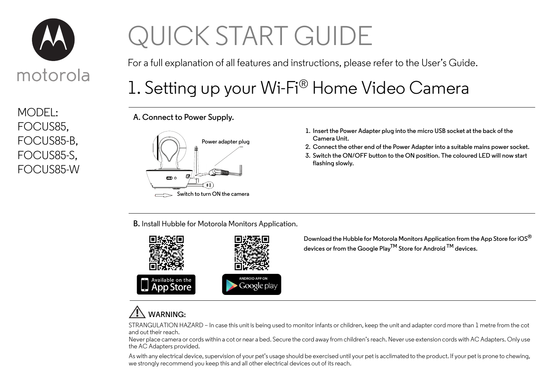

MODEL: FOCUS85, FOCUS85-B, FOCUS85-S, FOCUS85-W

## QUICK START GUIDE

For a full explanation of all features and instructions, please refer to the User's Guide.

## 1. Setting up your Wi-Fi® Home Video Camera

**A. Connect to Power Supply.**



- **1. Insert the Power Adapter plug into the micro USB socket at the back of the Camera Unit.**
- **2. Connect the other end of the Power Adapter into a suitable mains power socket.**
- **3. Switch the ON/OFF button to the ON position. The coloured LED will now start flashing slowly.**

**B.** Install Hubble for Motorola Monitors Application.



**Download the Hubble for Motorola Monitors Application from the App Store for iOS® devices or from the Google PlayTM Store for Android TM devices.**

## **WARNING:**

STRANGULATION HAZARD – In case this unit is being used to monitor infants or children, keep the unit and adapter cord more than 1 metre from the cot and out their reach.

Never place camera or cords within a cot or near a bed. Secure the cord away from children's reach. Never use extension cords with AC Adapters. Only use the AC Adapters provided.

As with any electrical device, supervision of your pet's usage should be exercised until your pet is acclimated to the product. If your pet is prone to chewing, we strongly recommend you keep this and all other electrical devices out of its reach.